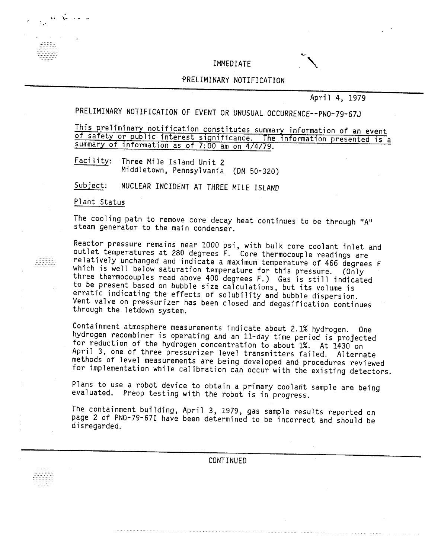IMMEDIATE

# ~RELIMINARY NOTIFICATION

April 4, 1979

PRELIMINARY NOTIFICATION OF EVENT OR UNUSUAL OCCURRENCE--PNO-79-67J

This preliminary notification constitutes summary information of an event of safety or public interest significance. The information presented is a summary of information as of 7:00 am on 4/4/79.

Facility: Three Mile Island Unit 2 Middletown, Pennsylvania *(ON 50-320)*

NUCLEAR INCIDENT AT THREE MILE ISLAND Subject:

Plant Status

The cooling path to remove core decay heat continues to be through " $A<sup>u</sup>$ steam generator to the main condenser.

 $R$ eactor pressure remains near 1000 ps $i$ , with bulk core coolant inlet and outlet temperatures at 280 degrees F. Core thermocouple readings are relatively unchanged and indicate a maximum temperature of 466 degrees F which is well below saturation temperature for this pressure. (Only three thermocouples read above 400 degrees F.) Gas is still indicated to be present based on bubble size calculations, but its volume is erratic indicating the effects of solubility and bubble dispersion. Vent valve on pressurizer has been closed and degasification continues through the letdown system.

Containment atmosphere measurements indicate about 2.1% hydrogen. One hydrogen recombiner is operating and an II-day time period is projected for reduction of the hydrogen concentration to about 1%. At 1430 on April 3, one of three pressurizer level transmitters failed. Alternate methods of level measurements are being developed and procedures reviewed for implementation while calibration can occur with the existing detectors.

Plans to use a robot device to obtain a primary coolant sample are being evaluated. Preop testing with the robot is in progress.

The containment building, April 3, 1979, gas sample results reported on page 2 of PNO-79-67I have been determined to be incorrect and should be disregarded.

CONTINUED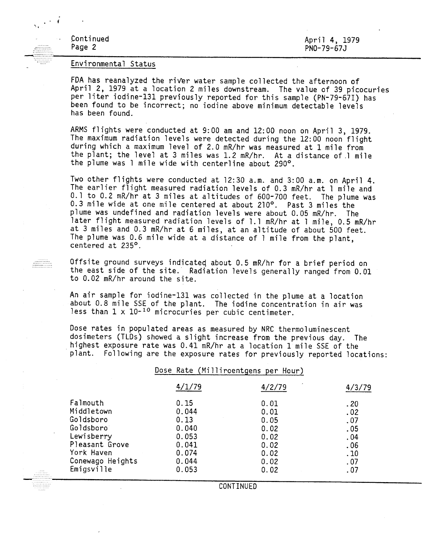Continued Page 2

 $\sim$   $\sim$   $\sim$ 

April 4, 1979 PNO-79-67J

#### Environmental Status

FDA has reanalyzed the river water sample collected the afternoon of April 2, 1979 at a location 2 miles downstream. The value of 39 picocuries per liter iodine-131 previously reported for this sample (PN-79-67I) has been found to be incorrect; no iodine above minimum detectable levels has been found.

ARMS flights were conducted at 9:00 am and 12:00 noon on April 3, 1979. The maximum radiation levels were detected during the 12:00 noon flight during which a maximum level of 2.0 mR/hr was measured at 1 mile from the plant; the level at 3 miles was 1.2 mR/hr. At a distance of.l mile the plume was 1 mile wide with centerline about 290°.

Two other flights were conducted at 12:30 a.m. and 3:00 a.m. on April 4. The earlier flight measured radiation levels of 0.3 mR/hr at 1 mile and 0.1 to 0.2 mR/hr at 3 miles at altitudes of 600-700 feet. The plume was 0.3 mile wide at one mile centered at about 210°. Past 3 miles the plume was undefined and radiation levels were about 0.05 mR/hr. The later flight measured radiation levels of 1.1 mR/hr at 1 mile, 0.5 mR/hr at 3 miles and 0.3 mR/hr at 6 miles, at an altitude of about 500 feet. The plume was 0.6 mile wide at a distance of 1 mile from the plant, centered at 235°.

Offsite ground surveys indicateq about 0.5 mR/hr for a brief period on the east side of the site. Radiation levels generally ranged from 0.01 to 0.02 mR/hr around the site.

An air sample for iodine-131 was collected in the plume at a location about 0.8 mile SSE of the plant. The iodine concentration in air was less than  $1 \times 10^{-10}$  microcuries per cubic centimeter.

Dose rates in populated areas as measured by NRC thermoluminescent dosimeters (TLDs) showed a slight increase from the previous day. The highest exposure rate was 0.41 mR/hr at a location 1 mile SSE of the plant. Following are the exposure rates for previously reported locations:

## Dose Rate (Milliroentgens per Hour)

|                                                                                                | 4/1/79                                                    | 4/2/79                                       | 4/3/79                                 |
|------------------------------------------------------------------------------------------------|-----------------------------------------------------------|----------------------------------------------|----------------------------------------|
| Falmouth<br>Middletown<br>Goldsboro<br>Goldsboro<br>Lewisberry<br>Pleasant Grove<br>York Haven | 0.15<br>0.044<br>0.13<br>0.040<br>0.053<br>0.041<br>0.074 | 0.01<br>0.01<br>0.05<br>0.02<br>0.02<br>0.02 | .20<br>.02<br>.07<br>.05<br>.04<br>.06 |
| Conewago Heights<br>Emigsville                                                                 | 0.044<br>0.053                                            | 0.02<br>0.02<br>0.02                         | .10<br>.07<br>. 07                     |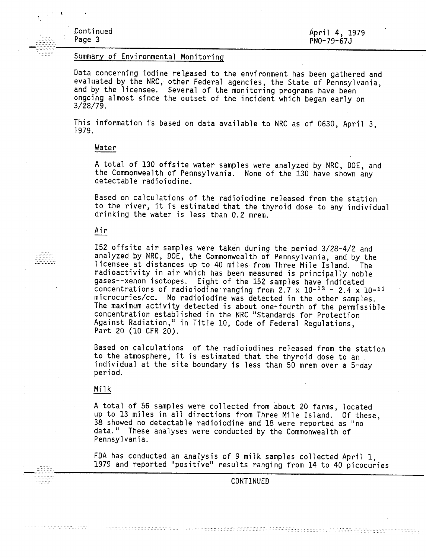# Summary of Environmental Monitoring

Data concerning iodine released to the environment has been gathered and evaluated by the NRC, other Federal agencies, the State of Pennsylvania, and by the licensee. Several of the monitoring programs have been ongoing almost since the outset of the incident which began early on 3/28/79.

This information is based on data available to NRC as of 0630, April 3, 1979.

# Water

A total of 130 offsite water samples were analyzed by NRC, DOE, and the Commonwealth of Pennsylvania. None of the 130 have shown any detectable radioiodine.

Based on calculations of the radioiodine released from the station to the river, it is estimated that the thyroid dose to any individual drinking the water is less than 0.2 mrem.

## Air

152 offsite air samples were taken during the period 3/28-4/2 and analyzed by NRC, DOE, the Commonwealth of Pennsylvania, and by the licensee at distances up to 40 miles from Three Mile Island. The radioactivity in air which has been measured is principally noble gases--xenon isotopes. Eight of the 152 samples have indicated concentrations of radioiodine ranging from  $2.7 \times 10^{-13}$  -  $2.4 \times 10^{-11}$ microcuries/cc. No radioiodine was detected in the other samples. The maximum activity detected is about one-fourth of the permissible concentration established in the NRC "Standards for Protection Against Radiation," in Title 10, Code of Federal Regulations, Part 20 (10 CFR 20).

Based on calculations of the radioiodines released from the station to the atmosphere, it is estimated that the thyroid dose to an individual at the site boundary is less than  $50$  mrem over a  $5$ -day period.

#### Milk

A total of 56 samples were collected from about 20 farms, located up to 13 miles in all directions from Three Mile Island. Of these, 38 showed no detectable radioiodine and 18 were reported as "no data." These analyses were conducted by the Commonwealth of Pennsylvania.

FDA has conducted an analysis of 9 milk samples collected April 1, 1979 and reported "positive" results ranging from 14 to 40 picocuries

CONTINUED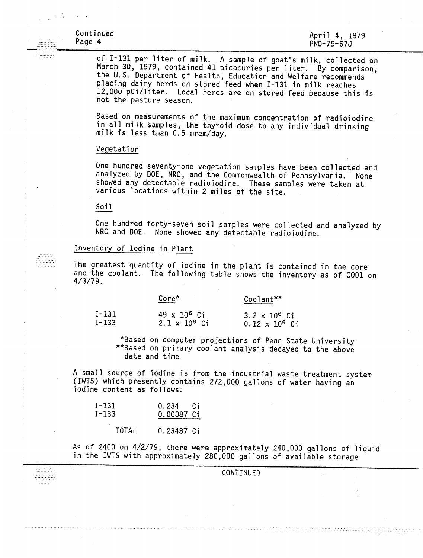of 1-131 per liter of milk. A sample of goat's milk, collected on March 30, 1979, contained 41 picocuries per liter. By comparison, the U.S. Department Of Health, Education and Welfare recommends placing dairy herds on stored feed when 1-131 in milk reaches 12,000 pCi/liter. Local herds are on stored feed because this is not the pasture season.

Based on measurements of the maximum concentration of radioiodine in all milk samples, the thyroid dose to any individual drinking milk is less than 0.5 mrem/day.

#### Vegetation

One hundred seventy-one vegetation samples have been collected and<br>analyzed by DOE, NRC, and the Commonwealth of Pennsylvania. None analyzed by DOE, NRC, and the Commonwealth of Pennsylvania. showed any detectable radioiodine. These samples were taken at various locations within 2 miles of the site.

#### Soil

One hundred forty-seven soil samples were collected and analyzed by NRC and DOE. None showed any detectable radioiodine.

# Inventory of Iodine in Plant

The greatest quantity of iodine in the plant is contained in the core and the coolant. The following table shows the inventory as of 0001 on 4/3/79.

|         | $\mathsf{Core}^\star$ | Coolant <sup>**</sup> |  |
|---------|-----------------------|-----------------------|--|
| $I-131$ | $49 \times 10^6$ Ci   | $3.2 \times 10^6$ Ci  |  |
| $I-133$ | $2.1 \times 10^6$ Ci  | $0.12 \times 10^6$ Ci |  |

\*Based on computer projections of Penn State University \*\*Based on primary coolant analysis decayed to the above date and time

A small source of iodine is from the industrial waste treatment system (IWTS) which presently contains 272,000 gallons of water having an iodine content as follows:

| $I-131$   | 0.234 Ci   |  |
|-----------|------------|--|
| $I - 133$ | 0.00087 Ci |  |

**TOTAL** 0.23487 Ci

As of 2400 on 4/2/79, there were approximately 240,000 gallons of liquid in the IWTS with approximately 280,000 gallons of available storage

CONTINUED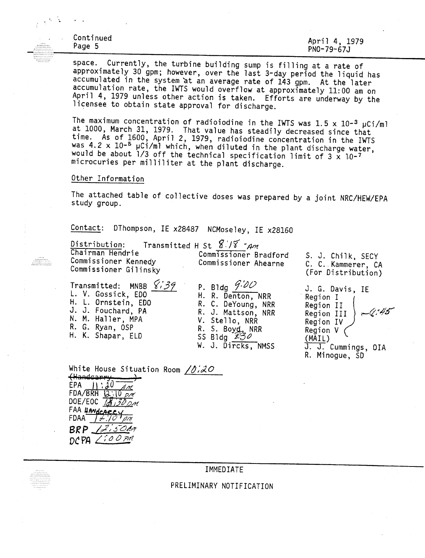Continued<br>Page 5 Page 5 \_ ------------------------------------- April 4, 1979 PNO-79-67J

space. Currently, the turbine building sump is filling at a rate of approximately 30 gpm; however, over the last 3-day period the liquid has accumulated in the system at an average rate of 143 gpm. At the later accumulation rate, the IWTS would overflow at approximately 11:00 am on April 4, 1979 unless other action is taken. Efforts are underway by the licensee to obtain state approval for discharge.

The maximum concentration of radioiodine in the IWTS was  $1.5 \times 10^{-3}$   $\mu$ Ci/ml at 1000, March 31, 1979. That value has steadily decreased since tha<br>time Ac ef 1600 Annil 0 1070 time. As of 1600, April 2, 1979, radioiodine concentration in the IWT $\sim$  4.2  $\times$  10–5  $\sim$  6.4.1 at the  $\sim$ was 4.2 x 10-<sup>5</sup>  $\mu$ Ci/ml which, when diluted in the plant discharge water, would be about  $1/3$  off the technical specification limit of  $3 \times 10^{-7}$ microcuries per milliliter at the plant discharge.

### Other Information

The attached table of collective doses was prepared by a joint NRC/HEW/EPA study group.

Contact: DThompson, IE x28487 NCMoseley, IE x28160

| Distribution:                                                     | Transmitted H St $8\sqrt{8}$ -Am              |                                                               |
|-------------------------------------------------------------------|-----------------------------------------------|---------------------------------------------------------------|
| Chairman Hendrie<br>Commissioner Kennedy<br>Commissioner Gilinsky | Commissioner Bradford<br>Commissioner Ahearne | S. J. Chilk, SECY<br>C. C. Kammerer, CA<br>(For Distribution) |
| Transmitted: MNBB 8:39<br>$\mathbf{U}$ $\mathbf{V}$ $\mathbf{C}$  | P. Bldg $9.00$                                | J. G. Davis, IE                                               |

. V. Gossick, EDO H. l. Ornstein, EDO J. J. Fouchard, PA N. M. Haller, MPA R. G. Ryan, OSP H. K. Shapar, ElD

H. R. Denton, NRR R. C. DeYoung, NRR R. J. Mattson, NRR V. Stello, NRR R. S. Boyd, NRR SS 81 dg *t:BtJ* W. J. Dircks, NMSS

*a.* G. Davis, IE<br> *Region I*<br> *Region II <i>45<sup>-45*</sup> Region III<br>Region IV Region V (MAIL) J. J. Cummings, OIA R. Minogue, SD

White House Situation Room  $/0.20$ **Handcarry** EPA  $\frac{11 \cdot 20}{20}$  $FDA/BRH$   $Q:10$   $\rho A$ DOE/EOC  $\overline{18}$   $\overline{30}$ FAA UANdcaeey  $BRP$  /2,50Am DCPA LioOPM

IMMEDIATE

PRELIMINARY NOTIFICATION